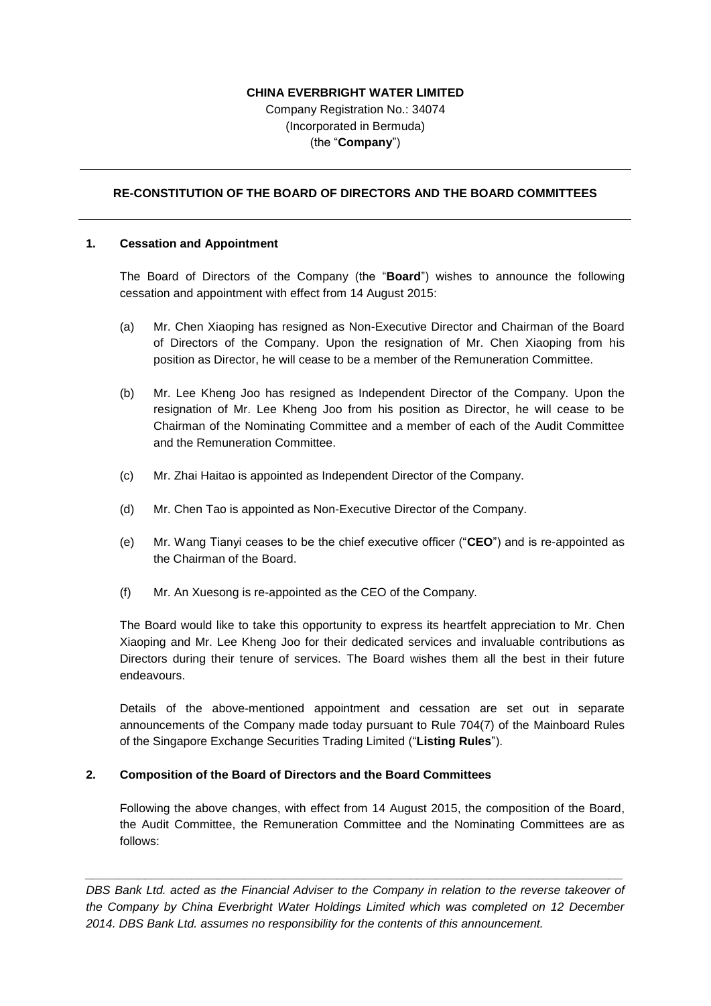# **CHINA EVERBRIGHT WATER LIMITED**

Company Registration No.: 34074 (Incorporated in Bermuda) (the "**Company**")

## **RE-CONSTITUTION OF THE BOARD OF DIRECTORS AND THE BOARD COMMITTEES**

#### **1. Cessation and Appointment**

The Board of Directors of the Company (the "**Board**") wishes to announce the following cessation and appointment with effect from 14 August 2015:

- (a) Mr. Chen Xiaoping has resigned as Non-Executive Director and Chairman of the Board of Directors of the Company. Upon the resignation of Mr. Chen Xiaoping from his position as Director, he will cease to be a member of the Remuneration Committee.
- (b) Mr. Lee Kheng Joo has resigned as Independent Director of the Company. Upon the resignation of Mr. Lee Kheng Joo from his position as Director, he will cease to be Chairman of the Nominating Committee and a member of each of the Audit Committee and the Remuneration Committee.
- (c) Mr. Zhai Haitao is appointed as Independent Director of the Company.
- (d) Mr. Chen Tao is appointed as Non-Executive Director of the Company.
- (e) Mr. Wang Tianyi ceases to be the chief executive officer ("**CEO**") and is re-appointed as the Chairman of the Board.
- (f) Mr. An Xuesong is re-appointed as the CEO of the Company.

The Board would like to take this opportunity to express its heartfelt appreciation to Mr. Chen Xiaoping and Mr. Lee Kheng Joo for their dedicated services and invaluable contributions as Directors during their tenure of services. The Board wishes them all the best in their future endeavours.

Details of the above-mentioned appointment and cessation are set out in separate announcements of the Company made today pursuant to Rule 704(7) of the Mainboard Rules of the Singapore Exchange Securities Trading Limited ("**Listing Rules**").

#### **2. Composition of the Board of Directors and the Board Committees**

Following the above changes, with effect from 14 August 2015, the composition of the Board, the Audit Committee, the Remuneration Committee and the Nominating Committees are as follows:

*DBS Bank Ltd. acted as the Financial Adviser to the Company in relation to the reverse takeover of the Company by China Everbright Water Holdings Limited which was completed on 12 December 2014. DBS Bank Ltd. assumes no responsibility for the contents of this announcement.*

*\_\_\_\_\_\_\_\_\_\_\_\_\_\_\_\_\_\_\_\_\_\_\_\_\_\_\_\_\_\_\_\_\_\_\_\_\_\_\_\_\_\_\_\_\_\_\_\_\_\_\_\_\_\_\_\_\_\_\_\_\_\_\_\_\_\_\_\_\_\_\_\_\_\_\_\_\_\_\_\_\_*